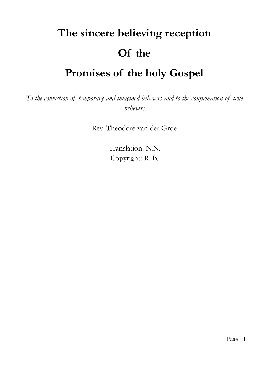# **The sincere believing reception Of the Promises of the holy Gospel**

# *To the conviction of temporary and imagined believers and to the confirmation of true*

*believers*

Rev. Theodore van der Groe

Translation: N.N. Copyright: R. B.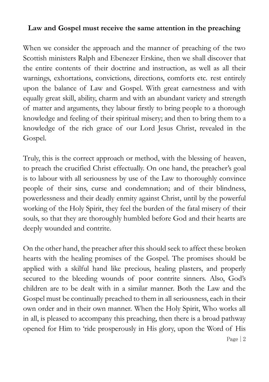# **Law and Gospel must receive the same attention in the preaching**

When we consider the approach and the manner of preaching of the two Scottish ministers Ralph and Ebenezer Erskine, then we shall discover that the entire contents of their doctrine and instruction, as well as all their warnings, exhortations, convictions, directions, comforts etc. rest entirely upon the balance of Law and Gospel. With great earnestness and with equally great skill, ability, charm and with an abundant variety and strength of matter and arguments, they labour firstly to bring people to a thorough knowledge and feeling of their spiritual misery; and then to bring them to a knowledge of the rich grace of our Lord Jesus Christ, revealed in the Gospel.

Truly, this is the correct approach or method, with the blessing of heaven, to preach the crucified Christ effectually. On one hand, the preacher's goal is to labour with all seriousness by use of the Law to thoroughly convince people of their sins, curse and condemnation; and of their blindness, powerlessness and their deadly enmity against Christ, until by the powerful working of the Holy Spirit, they feel the burden of the fatal misery of their souls, so that they are thoroughly humbled before God and their hearts are deeply wounded and contrite.

Page | 2 On the other hand, the preacher after this should seek to affect these broken hearts with the healing promises of the Gospel. The promises should be applied with a skilful hand like precious, healing plasters, and properly secured to the bleeding wounds of poor contrite sinners. Also, God's children are to be dealt with in a similar manner. Both the Law and the Gospel must be continually preached to them in all seriousness, each in their own order and in their own manner. When the Holy Spirit, Who works all in all, is pleased to accompany this preaching, then there is a broad pathway opened for Him to 'ride prosperously in His glory, upon the Word of His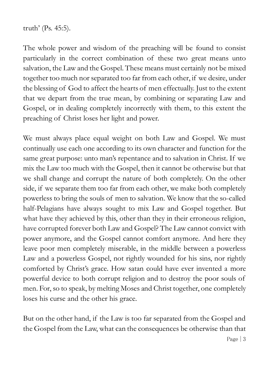truth' (Ps. 45:5).

The whole power and wisdom of the preaching will be found to consist particularly in the correct combination of these two great means unto salvation, the Law and the Gospel. These means must certainly not be mixed together too much nor separated too far from each other, if we desire, under the blessing of God to affect the hearts of men effectually. Just to the extent that we depart from the true mean, by combining or separating Law and Gospel, or in dealing completely incorrectly with them, to this extent the preaching of Christ loses her light and power.

We must always place equal weight on both Law and Gospel. We must continually use each one according to its own character and function for the same great purpose: unto man's repentance and to salvation in Christ. If we mix the Law too much with the Gospel, then it cannot be otherwise but that we shall change and corrupt the nature of both completely. On the other side, if we separate them too far from each other, we make both completely powerless to bring the souls of men to salvation. We know that the so-called half-Pelagians have always sought to mix Law and Gospel together. But what have they achieved by this, other than they in their erroneous religion, have corrupted forever both Law and Gospel? The Law cannot convict with power anymore, and the Gospel cannot comfort anymore. And here they leave poor men completely miserable, in the middle between a powerless Law and a powerless Gospel, not rightly wounded for his sins, nor rightly comforted by Christ's grace. How satan could have ever invented a more powerful device to both corrupt religion and to destroy the poor souls of men. For, so to speak, by melting Moses and Christ together, one completely loses his curse and the other his grace.

But on the other hand, if the Law is too far separated from the Gospel and the Gospel from the Law, what can the consequences be otherwise than that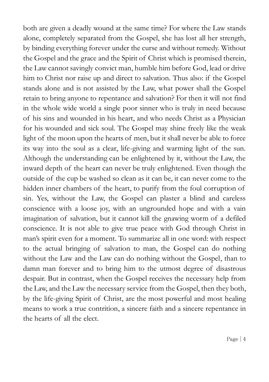both are given a deadly wound at the same time? For where the Law stands alone, completely separated from the Gospel, she has lost all her strength, by binding everything forever under the curse and without remedy. Without the Gospel and the grace and the Spirit of Christ which is promised therein, the Law cannot savingly convict man, humble him before God, lead or drive him to Christ nor raise up and direct to salvation. Thus also: if the Gospel stands alone and is not assisted by the Law, what power shall the Gospel retain to bring anyone to repentance and salvation? For then it will not find in the whole wide world a single poor sinner who is truly in need because of his sins and wounded in his heart, and who needs Christ as a Physician for his wounded and sick soul. The Gospel may shine freely like the weak light of the moon upon the hearts of men, but it shall never be able to force its way into the soul as a clear, life-giving and warming light of the sun. Although the understanding can be enlightened by it, without the Law, the inward depth of the heart can never be truly enlightened. Even though the outside of the cup be washed so clean as it can be, it can never come to the hidden inner chambers of the heart, to purify from the foul corruption of sin. Yes, without the Law, the Gospel can plaster a blind and careless conscience with a loose joy, with an ungrounded hope and with a vain imagination of salvation, but it cannot kill the gnawing worm of a defiled conscience. It is not able to give true peace with God through Christ in man's spirit even for a moment. To summarize all in one word: with respect to the actual bringing of salvation to man, the Gospel can do nothing without the Law and the Law can do nothing without the Gospel, than to damn man forever and to bring him to the utmost degree of disastrous despair. But in contrast, when the Gospel receives the necessary help from the Law, and the Law the necessary service from the Gospel, then they both, by the life-giving Spirit of Christ, are the most powerful and most healing means to work a true contrition, a sincere faith and a sincere repentance in the hearts of all the elect.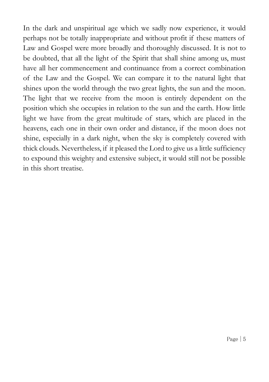In the dark and unspiritual age which we sadly now experience, it would perhaps not be totally inappropriate and without profit if these matters of Law and Gospel were more broadly and thoroughly discussed. It is not to be doubted, that all the light of the Spirit that shall shine among us, must have all her commencement and continuance from a correct combination of the Law and the Gospel. We can compare it to the natural light that shines upon the world through the two great lights, the sun and the moon. The light that we receive from the moon is entirely dependent on the position which she occupies in relation to the sun and the earth. How little light we have from the great multitude of stars, which are placed in the heavens, each one in their own order and distance, if the moon does not shine, especially in a dark night, when the sky is completely covered with thick clouds. Nevertheless, if it pleased the Lord to give us a little sufficiency to expound this weighty and extensive subject, it would still not be possible in this short treatise.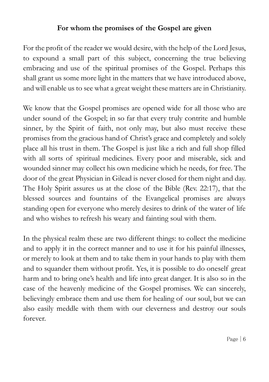# **For whom the promises of the Gospel are given**

For the profit of the reader we would desire, with the help of the Lord Jesus, to expound a small part of this subject, concerning the true believing embracing and use of the spiritual promises of the Gospel. Perhaps this shall grant us some more light in the matters that we have introduced above, and will enable us to see what a great weight these matters are in Christianity.

We know that the Gospel promises are opened wide for all those who are under sound of the Gospel; in so far that every truly contrite and humble sinner, by the Spirit of faith, not only may, but also must receive these promises from the gracious hand of Christ's grace and completely and solely place all his trust in them. The Gospel is just like a rich and full shop filled with all sorts of spiritual medicines. Every poor and miserable, sick and wounded sinner may collect his own medicine which he needs, for free. The door of the great Physician in Gilead is never closed for them night and day. The Holy Spirit assures us at the close of the Bible (Rev. 22:17), that the blessed sources and fountains of the Evangelical promises are always standing open for everyone who merely desires to drink of the water of life and who wishes to refresh his weary and fainting soul with them.

In the physical realm these are two different things: to collect the medicine and to apply it in the correct manner and to use it for his painful illnesses, or merely to look at them and to take them in your hands to play with them and to squander them without profit. Yes, it is possible to do oneself great harm and to bring one's health and life into great danger. It is also so in the case of the heavenly medicine of the Gospel promises. We can sincerely, believingly embrace them and use them for healing of our soul, but we can also easily meddle with them with our cleverness and destroy our souls forever.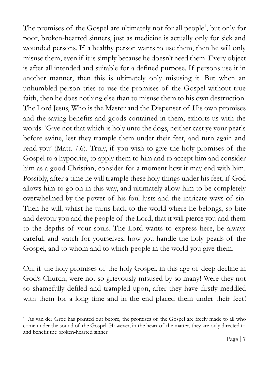The promises of the Gospel are ultimately not for all people<sup>1</sup>, but only for poor, broken-hearted sinners, just as medicine is actually only for sick and wounded persons. If a healthy person wants to use them, then he will only misuse them, even if it is simply because he doesn't need them. Every object is after all intended and suitable for a defined purpose. If persons use it in another manner, then this is ultimately only misusing it. But when an unhumbled person tries to use the promises of the Gospel without true faith, then he does nothing else than to misuse them to his own destruction. The Lord Jesus, Who is the Master and the Dispenser of His own promises and the saving benefits and goods contained in them, exhorts us with the words: 'Give not that which is holy unto the dogs, neither cast ye your pearls before swine, lest they trample them under their feet, and turn again and rend you' (Matt. 7:6). Truly, if you wish to give the holy promises of the Gospel to a hypocrite, to apply them to him and to accept him and consider him as a good Christian, consider for a moment how it may end with him. Possibly, after a time he will trample these holy things under his feet, if God allows him to go on in this way, and ultimately allow him to be completely overwhelmed by the power of his foul lusts and the intricate ways of sin. Then he will, whilst he turns back to the world where he belongs, so bite and devour you and the people of the Lord, that it will pierce you and them to the depths of your souls. The Lord wants to express here, be always careful, and watch for yourselves, how you handle the holy pearls of the Gospel, and to whom and to which people in the world you give them.

Oh, if the holy promises of the holy Gospel, in this age of deep decline in God's Church, were not so grievously misused by so many! Were they not so shamefully defiled and trampled upon, after they have firstly meddled with them for a long time and in the end placed them under their feet!

 $\overline{a}$ 

<sup>1</sup> As van der Groe has pointed out before, the promises of the Gospel are freely made to all who come under the sound of the Gospel. However, in the heart of the matter, they are only directed to and benefit the broken-hearted sinner.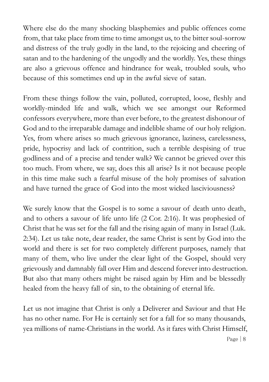Where else do the many shocking blasphemies and public offences come from, that take place from time to time amongst us, to the bitter soul-sorrow and distress of the truly godly in the land, to the rejoicing and cheering of satan and to the hardening of the ungodly and the worldly. Yes, these things are also a grievous offence and hindrance for weak, troubled souls, who because of this sometimes end up in the awful sieve of satan.

From these things follow the vain, polluted, corrupted, loose, fleshly and worldly-minded life and walk, which we see amongst our Reformed confessors everywhere, more than ever before, to the greatest dishonour of God and to the irreparable damage and indelible shame of our holy religion. Yes, from where arises so much grievous ignorance, laziness, carelessness, pride, hypocrisy and lack of contrition, such a terrible despising of true godliness and of a precise and tender walk? We cannot be grieved over this too much. From where, we say, does this all arise? Is it not because people in this time make such a fearful misuse of the holy promises of salvation and have turned the grace of God into the most wicked lasciviousness?

We surely know that the Gospel is to some a savour of death unto death, and to others a savour of life unto life (2 Cor. 2:16). It was prophesied of Christ that he was set for the fall and the rising again of many in Israel (Luk. 2:34). Let us take note, dear reader, the same Christ is sent by God into the world and there is set for two completely different purposes, namely that many of them, who live under the clear light of the Gospel, should very grievously and damnably fall over Him and descend forever into destruction. But also that many others might be raised again by Him and be blessedly healed from the heavy fall of sin, to the obtaining of eternal life.

Let us not imagine that Christ is only a Deliverer and Saviour and that He has no other name. For He is certainly set for a fall for so many thousands, yea millions of name-Christians in the world. As it fares with Christ Himself,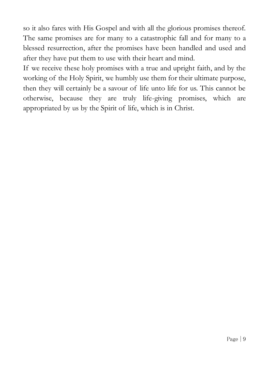so it also fares with His Gospel and with all the glorious promises thereof. The same promises are for many to a catastrophic fall and for many to a blessed resurrection, after the promises have been handled and used and after they have put them to use with their heart and mind.

If we receive these holy promises with a true and upright faith, and by the working of the Holy Spirit, we humbly use them for their ultimate purpose, then they will certainly be a savour of life unto life for us. This cannot be otherwise, because they are truly life-giving promises, which are appropriated by us by the Spirit of life, which is in Christ.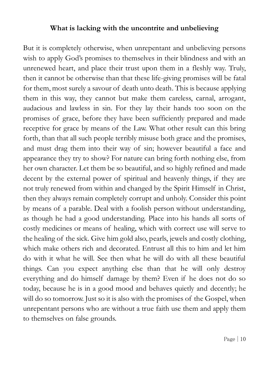#### **What is lacking with the uncontrite and unbelieving**

But it is completely otherwise, when unrepentant and unbelieving persons wish to apply God's promises to themselves in their blindness and with an unrenewed heart, and place their trust upon them in a fleshly way. Truly, then it cannot be otherwise than that these life-giving promises will be fatal for them, most surely a savour of death unto death. This is because applying them in this way, they cannot but make them careless, carnal, arrogant, audacious and lawless in sin. For they lay their hands too soon on the promises of grace, before they have been sufficiently prepared and made receptive for grace by means of the Law. What other result can this bring forth, than that all such people terribly misuse both grace and the promises, and must drag them into their way of sin; however beautiful a face and appearance they try to show? For nature can bring forth nothing else, from her own character. Let them be so beautiful, and so highly refined and made decent by the external power of spiritual and heavenly things, if they are not truly renewed from within and changed by the Spirit Himself in Christ, then they always remain completely corrupt and unholy. Consider this point by means of a parable. Deal with a foolish person without understanding, as though he had a good understanding. Place into his hands all sorts of costly medicines or means of healing, which with correct use will serve to the healing of the sick. Give him gold also, pearls, jewels and costly clothing, which make others rich and decorated. Entrust all this to him and let him do with it what he will. See then what he will do with all these beautiful things. Can you expect anything else than that he will only destroy everything and do himself damage by them? Even if he does not do so today, because he is in a good mood and behaves quietly and decently; he will do so tomorrow. Just so it is also with the promises of the Gospel, when unrepentant persons who are without a true faith use them and apply them to themselves on false grounds.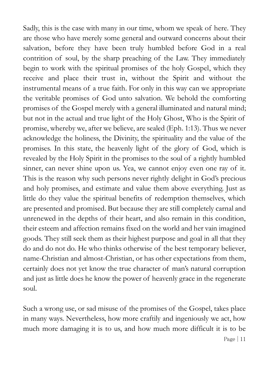Sadly, this is the case with many in our time, whom we speak of here. They are those who have merely some general and outward concerns about their salvation, before they have been truly humbled before God in a real contrition of soul, by the sharp preaching of the Law. They immediately begin to work with the spiritual promises of the holy Gospel, which they receive and place their trust in, without the Spirit and without the instrumental means of a true faith. For only in this way can we appropriate the veritable promises of God unto salvation. We behold the comforting promises of the Gospel merely with a general illuminated and natural mind; but not in the actual and true light of the Holy Ghost, Who is the Spirit of promise, whereby we, after we believe, are sealed (Eph. 1:13). Thus we never acknowledge the holiness, the Divinity, the spirituality and the value of the promises. In this state, the heavenly light of the glory of God, which is revealed by the Holy Spirit in the promises to the soul of a rightly humbled sinner, can never shine upon us. Yea, we cannot enjoy even one ray of it. This is the reason why such persons never rightly delight in God's precious and holy promises, and estimate and value them above everything. Just as little do they value the spiritual benefits of redemption themselves, which are presented and promised. But because they are still completely carnal and unrenewed in the depths of their heart, and also remain in this condition, their esteem and affection remains fixed on the world and her vain imagined goods. They still seek them as their highest purpose and goal in all that they do and do not do. He who thinks otherwise of the best temporary believer, name-Christian and almost-Christian, or has other expectations from them, certainly does not yet know the true character of man's natural corruption and just as little does he know the power of heavenly grace in the regenerate soul.

Page  $|11|$ Such a wrong use, or sad misuse of the promises of the Gospel, takes place in many ways. Nevertheless, how more craftily and ingeniously we act, how much more damaging it is to us, and how much more difficult it is to be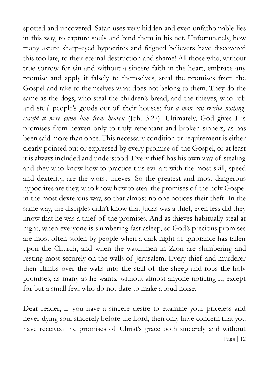spotted and uncovered. Satan uses very hidden and even unfathomable lies in this way, to capture souls and bind them in his net. Unfortunately, how many astute sharp-eyed hypocrites and feigned believers have discovered this too late, to their eternal destruction and shame! All those who, without true sorrow for sin and without a sincere faith in the heart, embrace any promise and apply it falsely to themselves, steal the promises from the Gospel and take to themselves what does not belong to them. They do the same as the dogs, who steal the children's bread, and the thieves, who rob and steal people's goods out of their houses; for *a man can receive nothing, except it were given him from heaven* (Joh. 3:27). Ultimately, God gives His promises from heaven only to truly repentant and broken sinners, as has been said more than once. This necessary condition or requirement is either clearly pointed out or expressed by every promise of the Gospel, or at least it is always included and understood. Every thief has his own way of stealing and they who know how to practice this evil art with the most skill, speed and dexterity, are the worst thieves. So the greatest and most dangerous hypocrites are they, who know how to steal the promises of the holy Gospel in the most dexterous way, so that almost no one notices their theft. In the same way, the disciples didn't know that Judas was a thief, even less did they know that he was a thief of the promises. And as thieves habitually steal at night, when everyone is slumbering fast asleep, so God's precious promises are most often stolen by people when a dark night of ignorance has fallen upon the Church, and when the watchmen in Zion are slumbering and resting most securely on the walls of Jerusalem. Every thief and murderer then climbs over the walls into the stall of the sheep and robs the holy promises, as many as he wants, without almost anyone noticing it, except for but a small few, who do not dare to make a loud noise.

Page | 12 Dear reader, if you have a sincere desire to examine your priceless and never-dying soul sincerely before the Lord, then only have concern that you have received the promises of Christ's grace both sincerely and without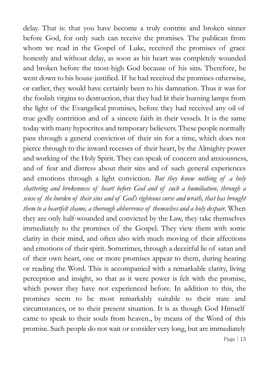Page | 13 delay. That is: that you have become a truly contrite and broken sinner before God, for only such can receive the promises. The publican from whom we read in the Gospel of Luke, received the promises of grace honestly and without delay, as soon as his heart was completely wounded and broken before the most-high God because of his sins. Therefore, he went down to his house justified. If he had received the promises otherwise, or earlier, they would have certainly been to his damnation. Thus it was for the foolish virgins to destruction, that they had lit their burning lamps from the light of the Evangelical promises, before they had received any oil of true godly contrition and of a sincere faith in their vessels. It is the same today with many hypocrites and temporary believers. These people normally pass through a general conviction of their sin for a time, which does not pierce through to the inward recesses of their heart, by the Almighty power and working of the Holy Spirit. They can speak of concern and anxiousness, and of fear and distress about their sins and of such general experiences and emotions through a light conviction. *But they know nothing of a holy shattering and brokenness of heart before God and of such a humiliation, through a sense of the burden of their sins and of God's righteous curse and wrath, that has brought them to a heartfelt shame, a thorough abhorrence of themselves and a holy despair.* When they are only half-wounded and convicted by the Law, they take themselves immediately to the promises of the Gospel. They view them with some clarity in their mind, and often also with much moving of their affections and emotions of their spirit. Sometimes, through a deceitful lie of satan and of their own heart, one or more promises appear to them, during hearing or reading the Word. This is accompanied with a remarkable clarity, living perception and insight, so that as it were power is felt with the promise, which power they have not experienced before. In addition to this, the promises seem to be most remarkably suitable to their state and circumstances, or to their present situation. It is as though God Himself came to speak to their souls from heaven., by means of the Word of this promise. Such people do not wait or consider very long, but are immediately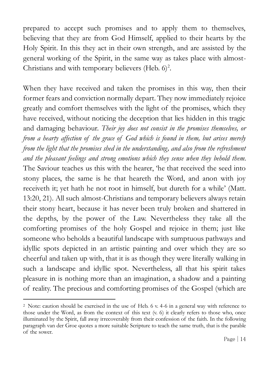prepared to accept such promises and to apply them to themselves, believing that they are from God Himself, applied to their hearts by the Holy Spirit. In this they act in their own strength, and are assisted by the general working of the Spirit, in the same way as takes place with almost-Christians and with temporary believers (Heb.  $6)^2$ .

When they have received and taken the promises in this way, then their former fears and conviction normally depart. They now immediately rejoice greatly and comfort themselves with the light of the promises, which they have received, without noticing the deception that lies hidden in this tragic and damaging behaviour. *Their joy does not consist in the promises themselves, or from a hearty affection of the grace of God which is found in them, but arises merely from the light that the promises shed in the understanding, and also from the refreshment and the pleasant feelings and strong emotions which they sense when they behold them*. The Saviour teaches us this with the hearer, 'he that received the seed into stony places, the same is he that heareth the Word, and anon with joy receiveth it; yet hath he not root in himself, but dureth for a while' (Matt. 13:20, 21). All such almost-Christians and temporary believers always retain their stony heart, because it has never been truly broken and shattered in the depths, by the power of the Law. Nevertheless they take all the comforting promises of the holy Gospel and rejoice in them; just like someone who beholds a beautiful landscape with sumptuous pathways and idyllic spots depicted in an artistic painting and over which they are so cheerful and taken up with, that it is as though they were literally walking in such a landscape and idyllic spot. Nevertheless, all that his spirit takes pleasure in is nothing more than an imagination, a shadow and a painting of reality. The precious and comforting promises of the Gospel (which are

 $\overline{a}$ 

<sup>2</sup> Note: caution should be exercised in the use of Heb. 6 v. 4-6 in a general way with reference to those under the Word, as from the context of this text (v. 6) it clearly refers to those who, once illuminated by the Spirit, fall away irrecoverably from their confession of the faith. In the following paragraph van der Groe quotes a more suitable Scripture to teach the same truth, that is the parable of the sower.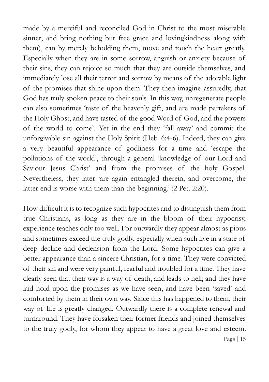made by a merciful and reconciled God in Christ to the most miserable sinner, and bring nothing but free grace and lovingkindness along with them), can by merely beholding them, move and touch the heart greatly. Especially when they are in some sorrow, anguish or anxiety because of their sins, they can rejoice so much that they are outside themselves, and immediately lose all their terror and sorrow by means of the adorable light of the promises that shine upon them. They then imagine assuredly, that God has truly spoken peace to their souls. In this way, unregenerate people can also sometimes 'taste of the heavenly gift, and are made partakers of the Holy Ghost, and have tasted of the good Word of God, and the powers of the world to come'. Yet in the end they 'fall away' and commit the unforgivable sin against the Holy Spirit (Heb. 6:4-6). Indeed, they can give a very beautiful appearance of godliness for a time and 'escape the pollutions of the world', through a general 'knowledge of our Lord and Saviour Jesus Christ' and from the promises of the holy Gospel. Nevertheless, they later 'are again entangled therein, and overcome, the latter end is worse with them than the beginning.' (2 Pet. 2:20).

How difficult it is to recognize such hypocrites and to distinguish them from true Christians, as long as they are in the bloom of their hypocrisy, experience teaches only too well. For outwardly they appear almost as pious and sometimes exceed the truly godly, especially when such live in a state of deep decline and declension from the Lord. Some hypocrites can give a better appearance than a sincere Christian, for a time. They were convicted of their sin and were very painful, fearful and troubled for a time. They have clearly seen that their way is a way of death, and leads to hell; and they have laid hold upon the promises as we have seen, and have been 'saved' and comforted by them in their own way. Since this has happened to them, their way of life is greatly changed. Outwardly there is a complete renewal and turnaround. They have forsaken their former friends and joined themselves to the truly godly, for whom they appear to have a great love and esteem.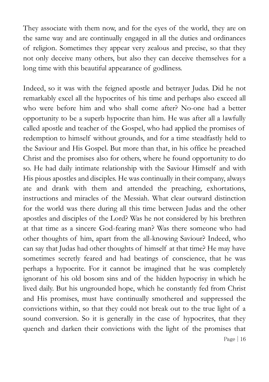They associate with them now, and for the eyes of the world, they are on the same way and are continually engaged in all the duties and ordinances of religion. Sometimes they appear very zealous and precise, so that they not only deceive many others, but also they can deceive themselves for a long time with this beautiful appearance of godliness.

Page | 16 Indeed, so it was with the feigned apostle and betrayer Judas. Did he not remarkably excel all the hypocrites of his time and perhaps also exceed all who were before him and who shall come after? No-one had a better opportunity to be a superb hypocrite than him. He was after all a lawfully called apostle and teacher of the Gospel, who had applied the promises of redemption to himself without grounds, and for a time steadfastly held to the Saviour and His Gospel. But more than that, in his office he preached Christ and the promises also for others, where he found opportunity to do so. He had daily intimate relationship with the Saviour Himself and with His pious apostles and disciples. He was continually in their company, always ate and drank with them and attended the preaching, exhortations, instructions and miracles of the Messiah. What clear outward distinction for the world was there during all this time between Judas and the other apostles and disciples of the Lord? Was he not considered by his brethren at that time as a sincere God-fearing man? Was there someone who had other thoughts of him, apart from the all-knowing Saviour? Indeed, who can say that Judas had other thoughts of himself at that time? He may have sometimes secretly feared and had beatings of conscience, that he was perhaps a hypocrite. For it cannot be imagined that he was completely ignorant of his old bosom sins and of the hidden hypocrisy in which he lived daily. But his ungrounded hope, which he constantly fed from Christ and His promises, must have continually smothered and suppressed the convictions within, so that they could not break out to the true light of a sound conversion. So it is generally in the case of hypocrites, that they quench and darken their convictions with the light of the promises that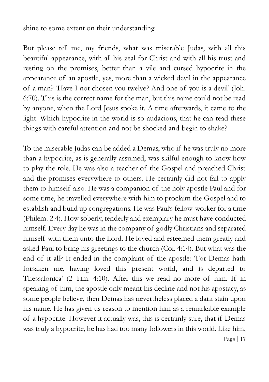shine to some extent on their understanding.

But please tell me, my friends, what was miserable Judas, with all this beautiful appearance, with all his zeal for Christ and with all his trust and resting on the promises, better than a vile and cursed hypocrite in the appearance of an apostle, yes, more than a wicked devil in the appearance of a man? 'Have I not chosen you twelve? And one of you is a devil' (Joh. 6:70). This is the correct name for the man, but this name could not be read by anyone, when the Lord Jesus spoke it. A time afterwards, it came to the light. Which hypocrite in the world is so audacious, that he can read these things with careful attention and not be shocked and begin to shake?

Page | 17 To the miserable Judas can be added a Demas, who if he was truly no more than a hypocrite, as is generally assumed, was skilful enough to know how to play the role. He was also a teacher of the Gospel and preached Christ and the promises everywhere to others. He certainly did not fail to apply them to himself also. He was a companion of the holy apostle Paul and for some time, he travelled everywhere with him to proclaim the Gospel and to establish and build up congregations. He was Paul's fellow-worker for a time (Philem. 2:4). How soberly, tenderly and exemplary he must have conducted himself. Every day he was in the company of godly Christians and separated himself with them unto the Lord. He loved and esteemed them greatly and asked Paul to bring his greetings to the church (Col. 4:14). But what was the end of it all? It ended in the complaint of the apostle: 'For Demas hath forsaken me, having loved this present world, and is departed to Thessalonica' (2 Tim. 4:10). After this we read no more of him. If in speaking of him, the apostle only meant his decline and not his apostacy, as some people believe, then Demas has nevertheless placed a dark stain upon his name. He has given us reason to mention him as a remarkable example of a hypocrite. However it actually was, this is certainly sure, that if Demas was truly a hypocrite, he has had too many followers in this world. Like him,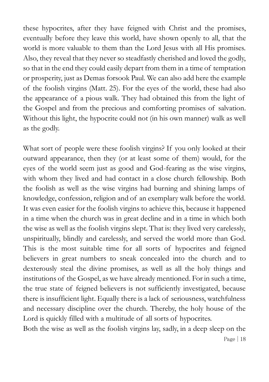these hypocrites, after they have feigned with Christ and the promises, eventually before they leave this world, have shown openly to all, that the world is more valuable to them than the Lord Jesus with all His promises. Also, they reveal that they never so steadfastly cherished and loved the godly, so that in the end they could easily depart from them in a time of temptation or prosperity, just as Demas forsook Paul. We can also add here the example of the foolish virgins (Matt. 25). For the eyes of the world, these had also the appearance of a pious walk. They had obtained this from the light of the Gospel and from the precious and comforting promises of salvation. Without this light, the hypocrite could not (in his own manner) walk as well as the godly.

What sort of people were these foolish virgins? If you only looked at their outward appearance, then they (or at least some of them) would, for the eyes of the world seem just as good and God-fearing as the wise virgins, with whom they lived and had contact in a close church fellowship. Both the foolish as well as the wise virgins had burning and shining lamps of knowledge, confession, religion and of an exemplary walk before the world. It was even easier for the foolish virgins to achieve this, because it happened in a time when the church was in great decline and in a time in which both the wise as well as the foolish virgins slept. That is: they lived very carelessly, unspiritually, blindly and carelessly, and served the world more than God. This is the most suitable time for all sorts of hypocrites and feigned believers in great numbers to sneak concealed into the church and to dexterously steal the divine promises, as well as all the holy things and institutions of the Gospel, as we have already mentioned. For in such a time, the true state of feigned believers is not sufficiently investigated, because there is insufficient light. Equally there is a lack of seriousness, watchfulness and necessary discipline over the church. Thereby, the holy house of the Lord is quickly filled with a multitude of all sorts of hypocrites.

Both the wise as well as the foolish virgins lay, sadly, in a deep sleep on the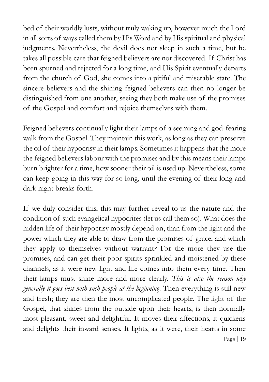bed of their worldly lusts, without truly waking up, however much the Lord in all sorts of ways called them by His Word and by His spiritual and physical judgments. Nevertheless, the devil does not sleep in such a time, but he takes all possible care that feigned believers are not discovered. If Christ has been spurned and rejected for a long time, and His Spirit eventually departs from the church of God, she comes into a pitiful and miserable state. The sincere believers and the shining feigned believers can then no longer be distinguished from one another, seeing they both make use of the promises of the Gospel and comfort and rejoice themselves with them.

Feigned believers continually light their lamps of a seeming and god-fearing walk from the Gospel. They maintain this work, as long as they can preserve the oil of their hypocrisy in their lamps. Sometimes it happens that the more the feigned believers labour with the promises and by this means their lamps burn brighter for a time, how sooner their oil is used up. Nevertheless, some can keep going in this way for so long, until the evening of their long and dark night breaks forth.

Page | 19 If we duly consider this, this may further reveal to us the nature and the condition of such evangelical hypocrites (let us call them so). What does the hidden life of their hypocrisy mostly depend on, than from the light and the power which they are able to draw from the promises of grace, and which they apply to themselves without warrant? For the more they use the promises, and can get their poor spirits sprinkled and moistened by these channels, as it were new light and life comes into them every time. Then their lamps must shine more and more clearly. *This is also the reason why generally it goes best with such people at the beginning*. Then everything is still new and fresh; they are then the most uncomplicated people. The light of the Gospel, that shines from the outside upon their hearts, is then normally most pleasant, sweet and delightful. It moves their affections, it quickens and delights their inward senses. It lights, as it were, their hearts in some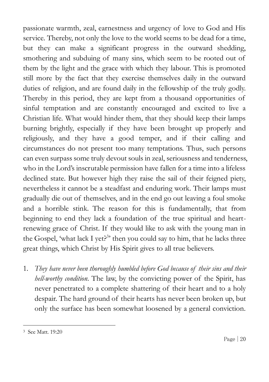passionate warmth, zeal, earnestness and urgency of love to God and His service. Thereby, not only the love to the world seems to be dead for a time, but they can make a significant progress in the outward shedding, smothering and subduing of many sins, which seem to be rooted out of them by the light and the grace with which they labour. This is promoted still more by the fact that they exercise themselves daily in the outward duties of religion, and are found daily in the fellowship of the truly godly. Thereby in this period, they are kept from a thousand opportunities of sinful temptation and are constantly encouraged and excited to live a Christian life. What would hinder them, that they should keep their lamps burning brightly, especially if they have been brought up properly and religiously, and they have a good temper, and if their calling and circumstances do not present too many temptations. Thus, such persons can even surpass some truly devout souls in zeal, seriousness and tenderness, who in the Lord's inscrutable permission have fallen for a time into a lifeless declined state. But however high they raise the sail of their feigned piety, nevertheless it cannot be a steadfast and enduring work. Their lamps must gradually die out of themselves, and in the end go out leaving a foul smoke and a horrible stink. The reason for this is fundamentally, that from beginning to end they lack a foundation of the true spiritual and heartrenewing grace of Christ. If they would like to ask with the young man in the Gospel, 'what lack I yet?<sup>3</sup>' then you could say to him, that he lacks three great things, which Christ by His Spirit gives to all true believers.

1. *They have never been thoroughly humbled before God because of their sins and their hell-worthy condition*. The law, by the convicting power of the Spirit, has never penetrated to a complete shattering of their heart and to a holy despair. The hard ground of their hearts has never been broken up, but only the surface has been somewhat loosened by a general conviction.

 $\overline{a}$ 

<sup>3</sup> See Matt. 19:20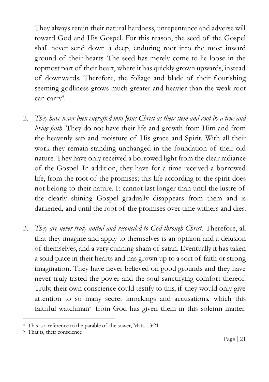They always retain their natural hardness, unrepentance and adverse will toward God and His Gospel. For this reason, the seed of the Gospel shall never send down a deep, enduring root into the most inward ground of their hearts. The seed has merely come to lie loose in the topmost part of their heart, where it has quickly grown upwards, instead of downwards. Therefore, the foliage and blade of their flourishing seeming godliness grows much greater and heavier than the weak root can carry<sup>4</sup>.

- 2. *They have never been engrafted into Jesus Christ as their stem and root by a true and living faith*. They do not have their life and growth from Him and from the heavenly sap and moisture of His grace and Spirit. With all their work they remain standing unchanged in the foundation of their old nature. They have only received a borrowed light from the clear radiance of the Gospel. In addition, they have for a time received a borrowed life, from the root of the promises; this life according to the spirit does not belong to their nature. It cannot last longer than until the lustre of the clearly shining Gospel gradually disappears from them and is darkened, and until the root of the promises over time withers and dies.
- 3. *They are never truly united and reconciled to God through Christ*. Therefore, all that they imagine and apply to themselves is an opinion and a delusion of themselves, and a very cunning sham of satan. Eventually it has taken a solid place in their hearts and has grown up to a sort of faith or strong imagination. They have never believed on good grounds and they have never truly tasted the power and the soul-sanctifying comfort thereof. Truly, their own conscience could testify to this, if they would only give attention to so many secret knockings and accusations, which this faithful watchman<sup>5</sup> from God has given them in this solemn matter.

 $\overline{a}$ 

<sup>4</sup> This is a reference to the parable of the sower, Matt. 13:21

<sup>5</sup> That is, their conscience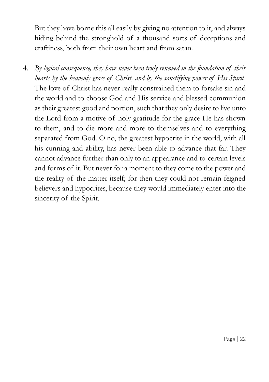But they have borne this all easily by giving no attention to it, and always hiding behind the stronghold of a thousand sorts of deceptions and craftiness, both from their own heart and from satan.

4. *By logical consequence, they have never been truly renewed in the foundation of their hearts by the heavenly grace of Christ, and by the sanctifying power of His Spirit*. The love of Christ has never really constrained them to forsake sin and the world and to choose God and His service and blessed communion as their greatest good and portion, such that they only desire to live unto the Lord from a motive of holy gratitude for the grace He has shown to them, and to die more and more to themselves and to everything separated from God. O no, the greatest hypocrite in the world, with all his cunning and ability, has never been able to advance that far. They cannot advance further than only to an appearance and to certain levels and forms of it. But never for a moment to they come to the power and the reality of the matter itself; for then they could not remain feigned believers and hypocrites, because they would immediately enter into the sincerity of the Spirit.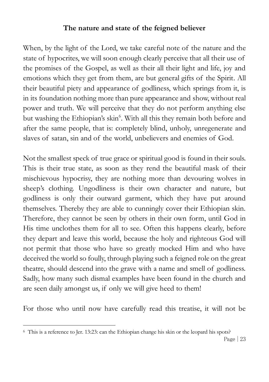# **The nature and state of the feigned believer**

When, by the light of the Lord, we take careful note of the nature and the state of hypocrites, we will soon enough clearly perceive that all their use of the promises of the Gospel, as well as their all their light and life, joy and emotions which they get from them, are but general gifts of the Spirit. All their beautiful piety and appearance of godliness, which springs from it, is in its foundation nothing more than pure appearance and show, without real power and truth. We will perceive that they do not perform anything else but washing the Ethiopian's skin<sup>6</sup>. With all this they remain both before and after the same people, that is: completely blind, unholy, unregenerate and slaves of satan, sin and of the world, unbelievers and enemies of God.

Not the smallest speck of true grace or spiritual good is found in their souls. This is their true state, as soon as they rend the beautiful mask of their mischievous hypocrisy, they are nothing more than devouring wolves in sheep's clothing. Ungodliness is their own character and nature, but godliness is only their outward garment, which they have put around themselves. Thereby they are able to cunningly cover their Ethiopian skin. Therefore, they cannot be seen by others in their own form, until God in His time unclothes them for all to see. Often this happens clearly, before they depart and leave this world, because the holy and righteous God will not permit that those who have so greatly mocked Him and who have deceived the world so foully, through playing such a feigned role on the great theatre, should descend into the grave with a name and smell of godliness. Sadly, how many such dismal examples have been found in the church and are seen daily amongst us, if only we will give heed to them!

For those who until now have carefully read this treatise, it will not be

 $\overline{a}$ 

<sup>6</sup> This is a reference to Jer. 13:23: can the Ethiopian change his skin or the leopard his spots?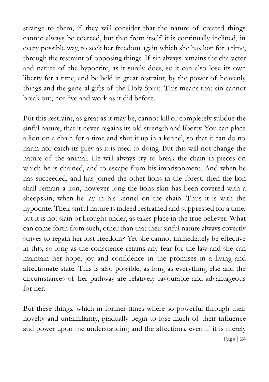strange to them, if they will consider that the nature of created things cannot always be coerced, but that from itself it is continually inclined, in every possible way, to seek her freedom again which she has lost for a time, through the restraint of opposing things. If sin always remains the character and nature of the hypocrite, as it surely does, so it can also lose its own liberty for a time, and be held in great restraint, by the power of heavenly things and the general gifts of the Holy Spirit. This means that sin cannot break out, nor live and work as it did before.

But this restraint, as great as it may be, cannot kill or completely subdue the sinful nature, that it never regains its old strength and liberty. You can place a lion on a chain for a time and shut it up in a kennel, so that it can do no harm nor catch its prey as it is used to doing. But this will not change the nature of the animal. He will always try to break the chain in pieces on which he is chained, and to escape from his imprisonment. And when he has succeeded, and has joined the other lions in the forest, then the lion shall remain a lion, however long the lions-skin has been covered with a sheepskin, when he lay in his kennel on the chain. Thus it is with the hypocrite. Their sinful nature is indeed restrained and suppressed for a time, but it is not slain or brought under, as takes place in the true believer. What can come forth from such, other than that their sinful nature always covertly strives to regain her lost freedom? Yet she cannot immediately be effective in this, so long as the conscience retains any fear for the law and she can maintain her hope, joy and confidence in the promises in a living and affectionate state. This is also possible, as long as everything else and the circumstances of her pathway are relatively favourable and advantageous for her.

Page | 24 But these things, which in former times where so powerful through their novelty and unfamiliarity, gradually begin to lose much of their influence and power upon the understanding and the affections, even if it is merely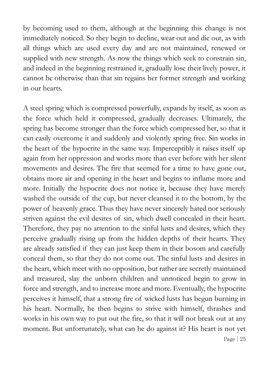by becoming used to them, although at the beginning this change is not immediately noticed. So they begin to decline, wear out and die out, as with all things which are used every day and are not maintained, renewed or supplied with new strength. As now the things which seek to constrain sin, and indeed in the beginning restrained it, gradually lose their lively power, it cannot be otherwise than that sin regains her former strength and working in our hearts.

Page | 25 A steel spring which is compressed powerfully, expands by itself, as soon as the force which held it compressed, gradually decreases. Ultimately, the spring has become stronger than the force which compressed her, so that it can easily overcome it and suddenly and violently spring free. Sin works in the heart of the hypocrite in the same way. Imperceptibly it raises itself up again from her oppression and works more than ever before with her silent movements and desires. The fire that seemed for a time to have gone out, obtains more air and opening in the heart and begins to inflame more and more. Initially the hypocrite does not notice it, because they have merely washed the outside of the cup, but never cleansed it to the bottom, by the power of heavenly grace. Thus they have never sincerely hated nor seriously striven against the evil desires of sin, which dwell concealed in their heart. Therefore, they pay no attention to the sinful lusts and desires, which they perceive gradually rising up from the hidden depths of their hearts. They are already satisfied if they can just keep them in their bosom and carefully conceal them, so that they do not come out. The sinful lusts and desires in the heart, which meet with no opposition, but rather are secretly maintained and treasured, slay the unborn children and unnoticed begin to grow in force and strength, and to increase more and more. Eventually, the hypocrite perceives it himself, that a strong fire of wicked lusts has begun burning in his heart. Normally, he then begins to strive with himself, thrashes and works in his own way to put out the fire, so that it will not break out at any moment. But unfortunately, what can he do against it? His heart is not yet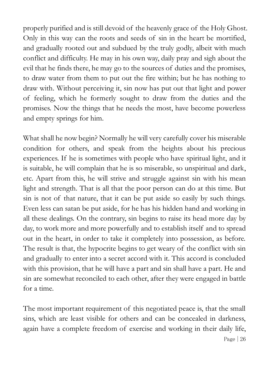properly purified and is still devoid of the heavenly grace of the Holy Ghost. Only in this way can the roots and seeds of sin in the heart be mortified, and gradually rooted out and subdued by the truly godly, albeit with much conflict and difficulty. He may in his own way, daily pray and sigh about the evil that he finds there, he may go to the sources of duties and the promises, to draw water from them to put out the fire within; but he has nothing to draw with. Without perceiving it, sin now has put out that light and power of feeling, which he formerly sought to draw from the duties and the promises. Now the things that he needs the most, have become powerless and empty springs for him.

What shall he now begin? Normally he will very carefully cover his miserable condition for others, and speak from the heights about his precious experiences. If he is sometimes with people who have spiritual light, and it is suitable, he will complain that he is so miserable, so unspiritual and dark, etc. Apart from this, he will strive and struggle against sin with his mean light and strength. That is all that the poor person can do at this time. But sin is not of that nature, that it can be put aside so easily by such things. Even less can satan be put aside, for he has his hidden hand and working in all these dealings. On the contrary, sin begins to raise its head more day by day, to work more and more powerfully and to establish itself and to spread out in the heart, in order to take it completely into possession, as before. The result is that, the hypocrite begins to get weary of the conflict with sin and gradually to enter into a secret accord with it. This accord is concluded with this provision, that he will have a part and sin shall have a part. He and sin are somewhat reconciled to each other, after they were engaged in battle for a time.

Page | 26 The most important requirement of this negotiated peace is, that the small sins, which are least visible for others and can be concealed in darkness, again have a complete freedom of exercise and working in their daily life,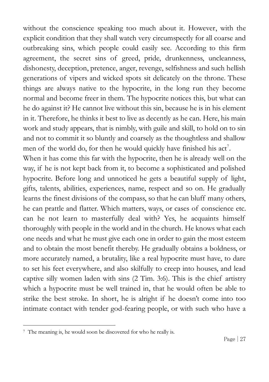without the conscience speaking too much about it. However, with the explicit condition that they shall watch very circumspectly for all coarse and outbreaking sins, which people could easily see. According to this firm agreement, the secret sins of greed, pride, drunkenness, uncleanness, dishonesty, deception, pretence, anger, revenge, selfishness and such hellish generations of vipers and wicked spots sit delicately on the throne. These things are always native to the hypocrite, in the long run they become normal and become freer in them. The hypocrite notices this, but what can he do against it? He cannot live without this sin, because he is in his element in it. Therefore, he thinks it best to live as decently as he can. Here, his main work and study appears, that is nimbly, with guile and skill, to hold on to sin and not to commit it so bluntly and coarsely as the thoughtless and shallow men of the world do, for then he would quickly have finished his  $act<sup>7</sup>$ .

When it has come this far with the hypocrite, then he is already well on the way, if he is not kept back from it, to become a sophisticated and polished hypocrite. Before long and unnoticed he gets a beautiful supply of light, gifts, talents, abilities, experiences, name, respect and so on. He gradually learns the finest divisions of the compass, so that he can bluff many others, he can prattle and flatter. Which matters, ways, or cases of conscience etc. can he not learn to masterfully deal with? Yes, he acquaints himself thoroughly with people in the world and in the church. He knows what each one needs and what he must give each one in order to gain the most esteem and to obtain the most benefit thereby. He gradually obtains a boldness, or more accurately named, a brutality, like a real hypocrite must have, to dare to set his feet everywhere, and also skilfully to creep into houses, and lead captive silly women laden with sins (2 Tim. 3:6). This is the chief artistry which a hypocrite must be well trained in, that he would often be able to strike the best stroke. In short, he is alright if he doesn't come into too intimate contact with tender god-fearing people, or with such who have a

 $\overline{a}$ 

<sup>7</sup> The meaning is, he would soon be discovered for who he really is.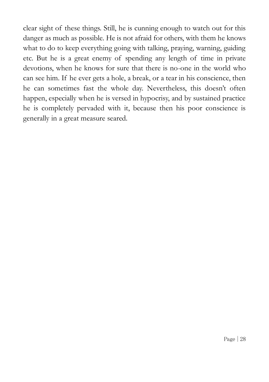clear sight of these things. Still, he is cunning enough to watch out for this danger as much as possible. He is not afraid for others, with them he knows what to do to keep everything going with talking, praying, warning, guiding etc. But he is a great enemy of spending any length of time in private devotions, when he knows for sure that there is no-one in the world who can see him. If he ever gets a hole, a break, or a tear in his conscience, then he can sometimes fast the whole day. Nevertheless, this doesn't often happen, especially when he is versed in hypocrisy, and by sustained practice he is completely pervaded with it, because then his poor conscience is generally in a great measure seared.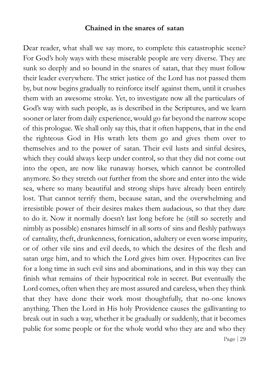#### **Chained in the snares of satan**

Page | 29 Dear reader, what shall we say more, to complete this catastrophic scene? For God's holy ways with these miserable people are very diverse. They are sunk so deeply and so bound in the snares of satan, that they must follow their leader everywhere. The strict justice of the Lord has not passed them by, but now begins gradually to reinforce itself against them, until it crushes them with an awesome stroke. Yet, to investigate now all the particulars of God's way with such people, as is described in the Scriptures, and we learn sooner or later from daily experience, would go far beyond the narrow scope of this prologue. We shall only say this, that it often happens, that in the end the righteous God in His wrath lets them go and gives them over to themselves and to the power of satan. Their evil lusts and sinful desires, which they could always keep under control, so that they did not come out into the open, are now like runaway horses, which cannot be controlled anymore. So they stretch out further from the shore and enter into the wide sea, where so many beautiful and strong ships have already been entirely lost. That cannot terrify them, because satan, and the overwhelming and irresistible power of their desires makes them audacious, so that they dare to do it. Now it normally doesn't last long before he (still so secretly and nimbly as possible) ensnares himself in all sorts of sins and fleshly pathways of carnality, theft, drunkenness, fornication, adultery or even worse impurity, or of other vile sins and evil deeds, to which the desires of the flesh and satan urge him, and to which the Lord gives him over. Hypocrites can live for a long time in such evil sins and abominations, and in this way they can finish what remains of their hypocritical role in secret. But eventually the Lord comes, often when they are most assured and careless, when they think that they have done their work most thoughtfully, that no-one knows anything. Then the Lord in His holy Providence causes the gallivanting to break out in such a way, whether it be gradually or suddenly, that it becomes public for some people or for the whole world who they are and who they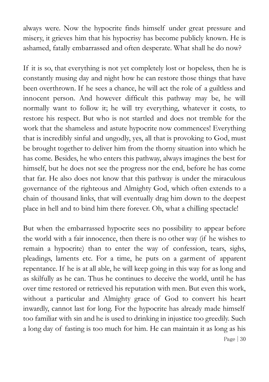always were. Now the hypocrite finds himself under great pressure and misery, it grieves him that his hypocrisy has become publicly known. He is ashamed, fatally embarrassed and often desperate. What shall he do now?

If it is so, that everything is not yet completely lost or hopeless, then he is constantly musing day and night how he can restore those things that have been overthrown. If he sees a chance, he will act the role of a guiltless and innocent person. And however difficult this pathway may be, he will normally want to follow it; he will try everything, whatever it costs, to restore his respect. But who is not startled and does not tremble for the work that the shameless and astute hypocrite now commences! Everything that is incredibly sinful and ungodly, yes, all that is provoking to God, must be brought together to deliver him from the thorny situation into which he has come. Besides, he who enters this pathway, always imagines the best for himself, but he does not see the progress nor the end, before he has come that far. He also does not know that this pathway is under the miraculous governance of the righteous and Almighty God, which often extends to a chain of thousand links, that will eventually drag him down to the deepest place in hell and to bind him there forever. Oh, what a chilling spectacle!

Page  $|30|$ But when the embarrassed hypocrite sees no possibility to appear before the world with a fair innocence, then there is no other way (if he wishes to remain a hypocrite) than to enter the way of confession, tears, sighs, pleadings, laments etc. For a time, he puts on a garment of apparent repentance. If he is at all able, he will keep going in this way for as long and as skilfully as he can. Thus he continues to deceive the world, until he has over time restored or retrieved his reputation with men. But even this work, without a particular and Almighty grace of God to convert his heart inwardly, cannot last for long. For the hypocrite has already made himself too familiar with sin and he is used to drinking in injustice too greedily. Such a long day of fasting is too much for him. He can maintain it as long as his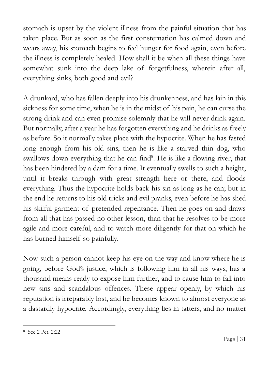stomach is upset by the violent illness from the painful situation that has taken place. But as soon as the first consternation has calmed down and wears away, his stomach begins to feel hunger for food again, even before the illness is completely healed. How shall it be when all these things have somewhat sunk into the deep lake of forgetfulness, wherein after all, everything sinks, both good and evil?

A drunkard, who has fallen deeply into his drunkenness, and has lain in this sickness for some time, when he is in the midst of his pain, he can curse the strong drink and can even promise solemnly that he will never drink again. But normally, after a year he has forgotten everything and he drinks as freely as before. So it normally takes place with the hypocrite. When he has fasted long enough from his old sins, then he is like a starved thin dog, who swallows down everything that he can find<sup>8</sup>. He is like a flowing river, that has been hindered by a dam for a time. It eventually swells to such a height, until it breaks through with great strength here or there, and floods everything. Thus the hypocrite holds back his sin as long as he can; but in the end he returns to his old tricks and evil pranks, even before he has shed his skilful garment of pretended repentance. Then he goes on and draws from all that has passed no other lesson, than that he resolves to be more agile and more careful, and to watch more diligently for that on which he has burned himself so painfully.

Now such a person cannot keep his eye on the way and know where he is going, before God's justice, which is following him in all his ways, has a thousand means ready to expose him further, and to cause him to fall into new sins and scandalous offences. These appear openly, by which his reputation is irreparably lost, and he becomes known to almost everyone as a dastardly hypocrite. Accordingly, everything lies in tatters, and no matter

 $\overline{a}$ 

<sup>8</sup> See 2 Pet. 2:22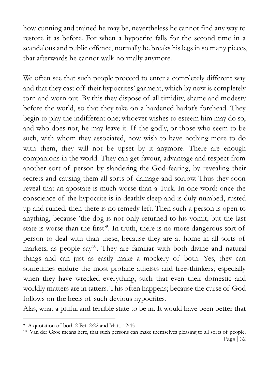how cunning and trained he may be, nevertheless he cannot find any way to restore it as before. For when a hypocrite falls for the second time in a scandalous and public offence, normally he breaks his legs in so many pieces, that afterwards he cannot walk normally anymore.

We often see that such people proceed to enter a completely different way and that they cast off their hypocrites' garment, which by now is completely torn and worn out. By this they dispose of all timidity, shame and modesty before the world, so that they take on a hardened harlot's forehead. They begin to play the indifferent one; whoever wishes to esteem him may do so, and who does not, he may leave it. If the godly, or those who seem to be such, with whom they associated, now wish to have nothing more to do with them, they will not be upset by it anymore. There are enough companions in the world. They can get favour, advantage and respect from another sort of person by slandering the God-fearing, by revealing their secrets and causing them all sorts of damage and sorrow. Thus they soon reveal that an apostate is much worse than a Turk. In one word: once the conscience of the hypocrite is in deathly sleep and is duly numbed, rusted up and ruined, then there is no remedy left. Then such a person is open to anything, because 'the dog is not only returned to his vomit, but the last state is worse than the first<sup>39</sup>. In truth, there is no more dangerous sort of person to deal with than these, because they are at home in all sorts of markets, as people say<sup>10</sup>. They are familiar with both divine and natural things and can just as easily make a mockery of both. Yes, they can sometimes endure the most profane atheists and free-thinkers; especially when they have wrecked everything, such that even their domestic and worldly matters are in tatters. This often happens; because the curse of God follows on the heels of such devious hypocrites.

Alas, what a pitiful and terrible state to be in. It would have been better that

 $\overline{a}$ 

<sup>9</sup> A quotation of both 2 Pet. 2:22 and Matt. 12:45

<sup>10</sup> Van der Groe means here, that such persons can make themselves pleasing to all sorts of people.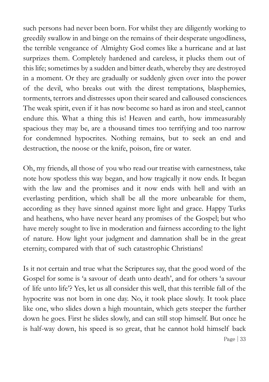such persons had never been born. For whilst they are diligently working to greedily swallow in and binge on the remains of their desperate ungodliness, the terrible vengeance of Almighty God comes like a hurricane and at last surprizes them. Completely hardened and careless, it plucks them out of this life; sometimes by a sudden and bitter death, whereby they are destroyed in a moment. Or they are gradually or suddenly given over into the power of the devil, who breaks out with the direst temptations, blasphemies, torments, terrors and distresses upon their seared and calloused consciences. The weak spirit, even if it has now become so hard as iron and steel, cannot endure this. What a thing this is! Heaven and earth, how immeasurably spacious they may be, are a thousand times too terrifying and too narrow for condemned hypocrites. Nothing remains, but to seek an end and destruction, the noose or the knife, poison, fire or water.

Oh, my friends, all those of you who read our treatise with earnestness, take note how spotless this way began, and how tragically it now ends. It began with the law and the promises and it now ends with hell and with an everlasting perdition, which shall be all the more unbearable for them, according as they have sinned against more light and grace. Happy Turks and heathens, who have never heard any promises of the Gospel; but who have merely sought to live in moderation and fairness according to the light of nature. How light your judgment and damnation shall be in the great eternity, compared with that of such catastrophic Christians!

Page | 33 Is it not certain and true what the Scriptures say, that the good word of the Gospel for some is 'a savour of death unto death', and for others 'a savour of life unto life'? Yes, let us all consider this well, that this terrible fall of the hypocrite was not born in one day. No, it took place slowly. It took place like one, who slides down a high mountain, which gets steeper the further down he goes. First he slides slowly, and can still stop himself. But once he is half-way down, his speed is so great, that he cannot hold himself back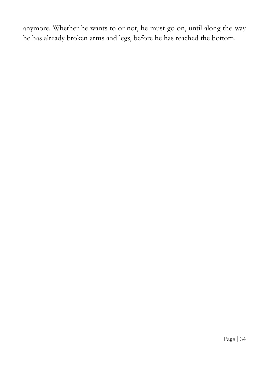anymore. Whether he wants to or not, he must go on, until along the way he has already broken arms and legs, before he has reached the bottom.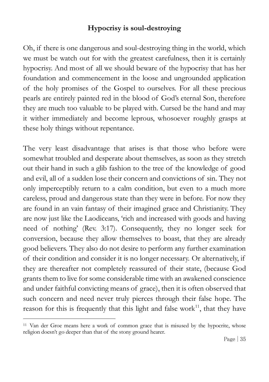# **Hypocrisy is soul-destroying**

Oh, if there is one dangerous and soul-destroying thing in the world, which we must be watch out for with the greatest carefulness, then it is certainly hypocrisy. And most of all we should beware of the hypocrisy that has her foundation and commencement in the loose and ungrounded application of the holy promises of the Gospel to ourselves. For all these precious pearls are entirely painted red in the blood of God's eternal Son, therefore they are much too valuable to be played with. Cursed be the hand and may it wither immediately and become leprous, whosoever roughly grasps at these holy things without repentance.

The very least disadvantage that arises is that those who before were somewhat troubled and desperate about themselves, as soon as they stretch out their hand in such a glib fashion to the tree of the knowledge of good and evil, all of a sudden lose their concern and convictions of sin. They not only imperceptibly return to a calm condition, but even to a much more careless, proud and dangerous state than they were in before. For now they are found in an vain fantasy of their imagined grace and Christianity. They are now just like the Laodiceans, 'rich and increased with goods and having need of nothing' (Rev. 3:17). Consequently, they no longer seek for conversion, because they allow themselves to boast, that they are already good believers. They also do not desire to perform any further examination of their condition and consider it is no longer necessary. Or alternatively, if they are thereafter not completely reassured of their state, (because God grants them to live for some considerable time with an awakened conscience and under faithful convicting means of grace), then it is often observed that such concern and need never truly pierces through their false hope. The reason for this is frequently that this light and false work<sup>11</sup>, that they have

 $\overline{a}$ 

<sup>&</sup>lt;sup>11</sup> Van der Groe means here a work of common grace that is misused by the hypocrite, whose religion doesn't go deeper than that of the stony ground hearer.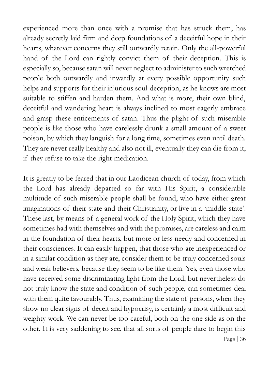experienced more than once with a promise that has struck them, has already secretly laid firm and deep foundations of a deceitful hope in their hearts, whatever concerns they still outwardly retain. Only the all-powerful hand of the Lord can rightly convict them of their deception. This is especially so, because satan will never neglect to administer to such wretched people both outwardly and inwardly at every possible opportunity such helps and supports for their injurious soul-deception, as he knows are most suitable to stiffen and harden them. And what is more, their own blind, deceitful and wandering heart is always inclined to most eagerly embrace and grasp these enticements of satan. Thus the plight of such miserable people is like those who have carelessly drunk a small amount of a sweet poison, by which they languish for a long time, sometimes even until death. They are never really healthy and also not ill, eventually they can die from it, if they refuse to take the right medication.

Page  $|36|$ It is greatly to be feared that in our Laodicean church of today, from which the Lord has already departed so far with His Spirit, a considerable multitude of such miserable people shall be found, who have either great imaginations of their state and their Christianity, or live in a 'middle-state'. These last, by means of a general work of the Holy Spirit, which they have sometimes had with themselves and with the promises, are careless and calm in the foundation of their hearts, but more or less needy and concerned in their consciences. It can easily happen, that those who are inexperienced or in a similar condition as they are, consider them to be truly concerned souls and weak believers, because they seem to be like them. Yes, even those who have received some discriminating light from the Lord, but nevertheless do not truly know the state and condition of such people, can sometimes deal with them quite favourably. Thus, examining the state of persons, when they show no clear signs of deceit and hypocrisy, is certainly a most difficult and weighty work. We can never be too careful, both on the one side as on the other. It is very saddening to see, that all sorts of people dare to begin this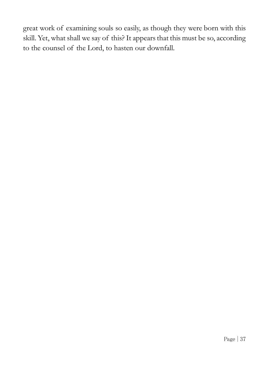great work of examining souls so easily, as though they were born with this skill. Yet, what shall we say of this? It appears that this must be so, according to the counsel of the Lord, to hasten our downfall.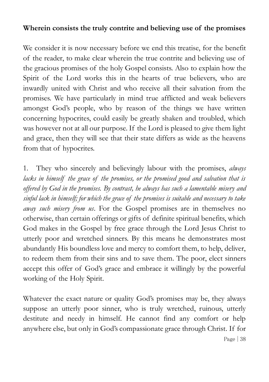# **Wherein consists the truly contrite and believing use of the promises**

We consider it is now necessary before we end this treatise, for the benefit of the reader, to make clear wherein the true contrite and believing use of the gracious promises of the holy Gospel consists. Also to explain how the Spirit of the Lord works this in the hearts of true believers, who are inwardly united with Christ and who receive all their salvation from the promises. We have particularly in mind true afflicted and weak believers amongst God's people, who by reason of the things we have written concerning hypocrites, could easily be greatly shaken and troubled, which was however not at all our purpose. If the Lord is pleased to give them light and grace, then they will see that their state differs as wide as the heavens from that of hypocrites.

1. They who sincerely and believingly labour with the promises, *always lacks in himself the grace of the promises, or the promised good and salvation that is offered by God in the promises. By contrast, he always has such a lamentable misery and sinful lack in himself; for which the grace of the promises is suitable and necessary to take away such misery from us*. For the Gospel promises are in themselves no otherwise, than certain offerings or gifts of definite spiritual benefits, which God makes in the Gospel by free grace through the Lord Jesus Christ to utterly poor and wretched sinners. By this means he demonstrates most abundantly His boundless love and mercy to comfort them, to help, deliver, to redeem them from their sins and to save them. The poor, elect sinners accept this offer of God's grace and embrace it willingly by the powerful working of the Holy Spirit.

Whatever the exact nature or quality God's promises may be, they always suppose an utterly poor sinner, who is truly wretched, ruinous, utterly destitute and needy in himself. He cannot find any comfort or help anywhere else, but only in God's compassionate grace through Christ. If for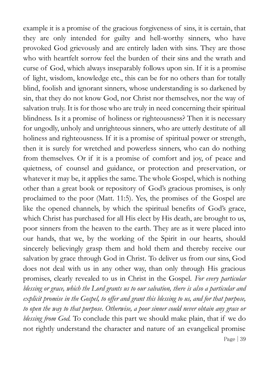Page | 39 example it is a promise of the gracious forgiveness of sins, it is certain, that they are only intended for guilty and hell-worthy sinners, who have provoked God grievously and are entirely laden with sins. They are those who with heartfelt sorrow feel the burden of their sins and the wrath and curse of God, which always inseparably follows upon sin. If it is a promise of light, wisdom, knowledge etc., this can be for no others than for totally blind, foolish and ignorant sinners, whose understanding is so darkened by sin, that they do not know God, nor Christ nor themselves, nor the way of salvation truly. It is for those who are truly in need concerning their spiritual blindness. Is it a promise of holiness or righteousness? Then it is necessary for ungodly, unholy and unrighteous sinners, who are utterly destitute of all holiness and righteousness. If it is a promise of spiritual power or strength, then it is surely for wretched and powerless sinners, who can do nothing from themselves. Or if it is a promise of comfort and joy, of peace and quietness, of counsel and guidance, or protection and preservation, or whatever it may be, it applies the same. The whole Gospel, which is nothing other than a great book or repository of God's gracious promises, is only proclaimed to the poor (Matt. 11:5). Yes, the promises of the Gospel are like the opened channels, by which the spiritual benefits of God's grace, which Christ has purchased for all His elect by His death, are brought to us, poor sinners from the heaven to the earth. They are as it were placed into our hands, that we, by the working of the Spirit in our hearts, should sincerely believingly grasp them and hold them and thereby receive our salvation by grace through God in Christ. To deliver us from our sins, God does not deal with us in any other way, than only through His gracious promises, clearly revealed to us in Christ in the Gospel. *For every particular blessing or grace, which the Lord grants us to our salvation, there is also a particular and explicit promise in the Gospel, to offer and grant this blessing to us, and for that purpose, to open the way to that purpose. Otherwise, a poor sinner could never obtain any grace or blessing from God.* To conclude this part we should make plain, that if we do not rightly understand the character and nature of an evangelical promise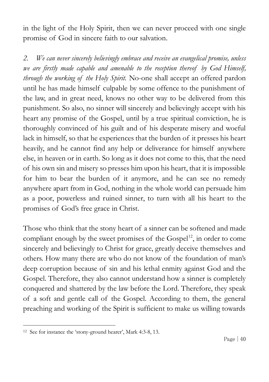in the light of the Holy Spirit, then we can never proceed with one single promise of God in sincere faith to our salvation.

*2. We can never sincerely believingly embrace and receive an evangelical promise, unless we are firstly made capable and amenable to the reception thereof by God Himself, through the working of the Holy Spirit.* No-one shall accept an offered pardon until he has made himself culpable by some offence to the punishment of the law, and in great need, knows no other way to be delivered from this punishment. So also, no sinner will sincerely and believingly accept with his heart any promise of the Gospel, until by a true spiritual conviction, he is thoroughly convinced of his guilt and of his desperate misery and woeful lack in himself, so that he experiences that the burden of it presses his heart heavily, and he cannot find any help or deliverance for himself anywhere else, in heaven or in earth. So long as it does not come to this, that the need of his own sin and misery so presses him upon his heart, that it is impossible for him to bear the burden of it anymore, and he can see no remedy anywhere apart from in God, nothing in the whole world can persuade him as a poor, powerless and ruined sinner, to turn with all his heart to the promises of God's free grace in Christ.

Those who think that the stony heart of a sinner can be softened and made compliant enough by the sweet promises of the  $Gospel<sup>12</sup>$ , in order to come sincerely and believingly to Christ for grace, greatly deceive themselves and others. How many there are who do not know of the foundation of man's deep corruption because of sin and his lethal enmity against God and the Gospel. Therefore, they also cannot understand how a sinner is completely conquered and shattered by the law before the Lord. Therefore, they speak of a soft and gentle call of the Gospel. According to them, the general preaching and working of the Spirit is sufficient to make us willing towards

 $\overline{a}$ 

<sup>12</sup> See for instance the 'stony-ground hearer', Mark 4:3-8, 13.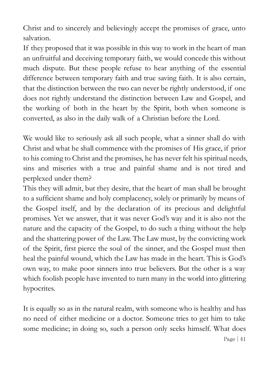Christ and to sincerely and believingly accept the promises of grace, unto salvation.

If they proposed that it was possible in this way to work in the heart of man an unfruitful and deceiving temporary faith, we would concede this without much dispute. But these people refuse to hear anything of the essential difference between temporary faith and true saving faith. It is also certain, that the distinction between the two can never be rightly understood, if one does not rightly understand the distinction between Law and Gospel, and the working of both in the heart by the Spirit, both when someone is converted, as also in the daily walk of a Christian before the Lord.

We would like to seriously ask all such people, what a sinner shall do with Christ and what he shall commence with the promises of His grace, if prior to his coming to Christ and the promises, he has never felt his spiritual needs, sins and miseries with a true and painful shame and is not tired and perplexed under them?

This they will admit, but they desire, that the heart of man shall be brought to a sufficient shame and holy complacency, solely or primarily by means of the Gospel itself, and by the declaration of its precious and delightful promises. Yet we answer, that it was never God's way and it is also not the nature and the capacity of the Gospel, to do such a thing without the help and the shattering power of the Law. The Law must, by the convicting work of the Spirit, first pierce the soul of the sinner, and the Gospel must then heal the painful wound, which the Law has made in the heart. This is God's own way, to make poor sinners into true believers. But the other is a way which foolish people have invented to turn many in the world into glittering hypocrites.

It is equally so as in the natural realm, with someone who is healthy and has no need of either medicine or a doctor. Someone tries to get him to take some medicine; in doing so, such a person only seeks himself. What does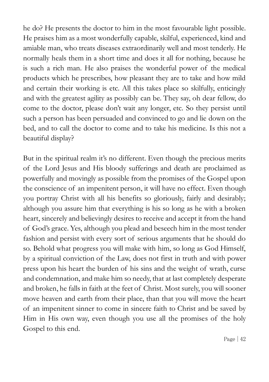he do? He presents the doctor to him in the most favourable light possible. He praises him as a most wonderfully capable, skilful, experienced, kind and amiable man, who treats diseases extraordinarily well and most tenderly. He normally heals them in a short time and does it all for nothing, because he is such a rich man. He also praises the wonderful power of the medical products which he prescribes, how pleasant they are to take and how mild and certain their working is etc. All this takes place so skilfully, enticingly and with the greatest agility as possibly can be. They say, oh dear fellow, do come to the doctor, please don't wait any longer, etc. So they persist until such a person has been persuaded and convinced to go and lie down on the bed, and to call the doctor to come and to take his medicine. Is this not a beautiful display?

But in the spiritual realm it's no different. Even though the precious merits of the Lord Jesus and His bloody sufferings and death are proclaimed as powerfully and movingly as possible from the promises of the Gospel upon the conscience of an impenitent person, it will have no effect. Even though you portray Christ with all his benefits so gloriously, fairly and desirably; although you assure him that everything is his so long as he with a broken heart, sincerely and believingly desires to receive and accept it from the hand of God's grace. Yes, although you plead and beseech him in the most tender fashion and persist with every sort of serious arguments that he should do so. Behold what progress you will make with him, so long as God Himself, by a spiritual conviction of the Law, does not first in truth and with power press upon his heart the burden of his sins and the weight of wrath, curse and condemnation, and make him so needy, that at last completely desperate and broken, he falls in faith at the feet of Christ. Most surely, you will sooner move heaven and earth from their place, than that you will move the heart of an impenitent sinner to come in sincere faith to Christ and be saved by Him in His own way, even though you use all the promises of the holy Gospel to this end.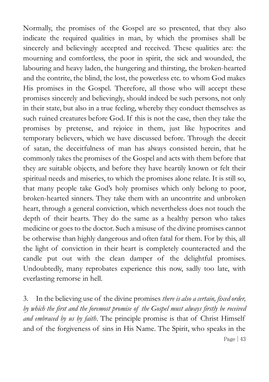Normally, the promises of the Gospel are so presented, that they also indicate the required qualities in man, by which the promises shall be sincerely and believingly accepted and received. These qualities are: the mourning and comfortless, the poor in spirit, the sick and wounded, the labouring and heavy laden, the hungering and thirsting, the broken-hearted and the contrite, the blind, the lost, the powerless etc. to whom God makes His promises in the Gospel. Therefore, all those who will accept these promises sincerely and believingly, should indeed be such persons, not only in their state, but also in a true feeling, whereby they conduct themselves as such ruined creatures before God. If this is not the case, then they take the promises by pretense, and rejoice in them, just like hypocrites and temporary believers, which we have discussed before. Through the deceit of satan, the deceitfulness of man has always consisted herein, that he commonly takes the promises of the Gospel and acts with them before that they are suitable objects, and before they have heartily known or felt their spiritual needs and miseries, to which the promises alone relate. It is still so, that many people take God's holy promises which only belong to poor, broken-hearted sinners. They take them with an uncontrite and unbroken heart, through a general conviction, which nevertheless does not touch the depth of their hearts. They do the same as a healthy person who takes medicine or goes to the doctor. Such a misuse of the divine promises cannot be otherwise than highly dangerous and often fatal for them. For by this, all the light of conviction in their heart is completely counteracted and the candle put out with the clean damper of the delightful promises. Undoubtedly, many reprobates experience this now, sadly too late, with everlasting remorse in hell.

Page | 43 3. In the believing use of the divine promises *there is also a certain, fixed order, by which the first and the foremost promise of the Gospel must always firstly be received and embraced by us by faith*. The principle promise is that of Christ Himself and of the forgiveness of sins in His Name. The Spirit, who speaks in the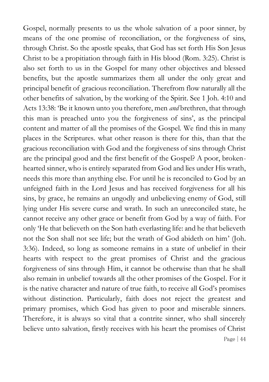Page | 44 Gospel, normally presents to us the whole salvation of a poor sinner, by means of the one promise of reconciliation, or the forgiveness of sins, through Christ. So the apostle speaks, that God has set forth His Son Jesus Christ to be a propitiation through faith in His blood (Rom. 3:25). Christ is also set forth to us in the Gospel for many other objectives and blessed benefits, but the apostle summarizes them all under the only great and principal benefit of gracious reconciliation. Therefrom flow naturally all the other benefits of salvation, by the working of the Spirit. See 1 Joh. 4:10 and Acts 13:38: 'Be it known unto you therefore, men *and* brethren, that through this man is preached unto you the forgiveness of sins', as the principal content and matter of all the promises of the Gospel. We find this in many places in the Scriptures. what other reason is there for this, than that the gracious reconciliation with God and the forgiveness of sins through Christ are the principal good and the first benefit of the Gospel? A poor, brokenhearted sinner, who is entirely separated from God and lies under His wrath, needs this more than anything else. For until he is reconciled to God by an unfeigned faith in the Lord Jesus and has received forgiveness for all his sins, by grace, he remains an ungodly and unbelieving enemy of God, still lying under His severe curse and wrath. In such an unreconciled state, he cannot receive any other grace or benefit from God by a way of faith. For only 'He that believeth on the Son hath everlasting life: and he that believeth not the Son shall not see life; but the wrath of God abideth on him' (Joh. 3:36). Indeed, so long as someone remains in a state of unbelief in their hearts with respect to the great promises of Christ and the gracious forgiveness of sins through Him, it cannot be otherwise than that he shall also remain in unbelief towards all the other promises of the Gospel. For it is the native character and nature of true faith, to receive all God's promises without distinction. Particularly, faith does not reject the greatest and primary promises, which God has given to poor and miserable sinners. Therefore, it is always so vital that a contrite sinner, who shall sincerely believe unto salvation, firstly receives with his heart the promises of Christ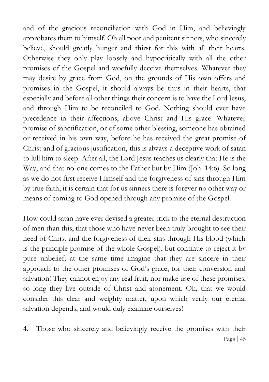and of the gracious reconciliation with God in Him, and believingly approbates them to himself. Oh all poor and penitent sinners, who sincerely believe, should greatly hunger and thirst for this with all their hearts. Otherwise they only play loosely and hypocritically with all the other promises of the Gospel and woefully deceive themselves. Whatever they may desire by grace from God, on the grounds of His own offers and promises in the Gospel, it should always be thus in their hearts, that especially and before all other things their concern is to have the Lord Jesus, and through Him to be reconciled to God. Nothing should ever have precedence in their affections, above Christ and His grace. Whatever promise of sanctification, or of some other blessing, someone has obtained or received in his own way, before he has received the great promise of Christ and of gracious justification, this is always a deceptive work of satan to lull him to sleep. After all, the Lord Jesus teaches us clearly that He is the Way, and that no-one comes to the Father but by Him (Joh. 14:6). So long as we do not first receive Himself and the forgiveness of sins through Him by true faith, it is certain that for us sinners there is forever no other way or means of coming to God opened through any promise of the Gospel.

How could satan have ever devised a greater trick to the eternal destruction of men than this, that those who have never been truly brought to see their need of Christ and the forgiveness of their sins through His blood (which is the principle promise of the whole Gospel), but continue to reject it by pure unbelief; at the same time imagine that they are sincere in their approach to the other promises of God's grace, for their conversion and salvation! They cannot enjoy any real fruit, nor make use of these promises, so long they live outside of Christ and atonement. Oh, that we would consider this clear and weighty matter, upon which verily our eternal salvation depends, and would duly examine ourselves!

Page | 45 4. Those who sincerely and believingly receive the promises with their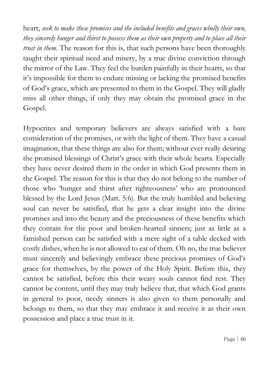heart, *seek to make these promises and the included benefits and graces wholly their own, they sincerely hunger and thirst to possess them as their own property and to place all their trust in them*. The reason for this is, that such persons have been thoroughly taught their spiritual need and misery, by a true divine conviction through the mirror of the Law. They feel the burden painfully in their hearts, so that it's impossible for them to endure missing or lacking the promised benefits of God's grace, which are presented to them in the Gospel. They will gladly miss all other things, if only they may obtain the promised grace in the Gospel.

Hypocrites and temporary believers are always satisfied with a bare consideration of the promises, or with the light of them. They have a casual imagination, that these things are also for them; without ever really desiring the promised blessings of Christ's grace with their whole hearts. Especially they have never desired them in the order in which God presents them in the Gospel. The reason for this is that they do not belong to the number of those who 'hunger and thirst after righteousness' who are pronounced blessed by the Lord Jesus (Matt. 5:6). But the truly humbled and believing soul can never be satisfied, that he gets a clear insight into the divine promises and into the beauty and the preciousness of these benefits which they contain for the poor and broken-hearted sinners; just as little as a famished person can be satisfied with a mere sight of a table decked with costly dishes, when he is not allowed to eat of them. Oh no, the true believer must sincerely and believingly embrace these precious promises of God's grace for themselves, by the power of the Holy Spirit. Before this, they cannot be satisfied, before this their weary souls cannot find rest. They cannot be content, until they may truly believe that, that which God grants in general to poor, needy sinners is also given to them personally and belongs to them, so that they may embrace it and receive it as their own possession and place a true trust in it.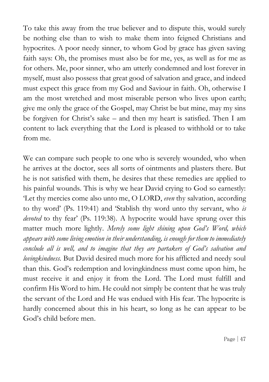To take this away from the true believer and to dispute this, would surely be nothing else than to wish to make them into feigned Christians and hypocrites. A poor needy sinner, to whom God by grace has given saving faith says: Oh, the promises must also be for me, yes, as well as for me as for others. Me, poor sinner, who am utterly condemned and lost forever in myself, must also possess that great good of salvation and grace, and indeed must expect this grace from my God and Saviour in faith. Oh, otherwise I am the most wretched and most miserable person who lives upon earth; give me only the grace of the Gospel, may Christ be but mine, may my sins be forgiven for Christ's sake – and then my heart is satisfied. Then I am content to lack everything that the Lord is pleased to withhold or to take from me.

We can compare such people to one who is severely wounded, who when he arrives at the doctor, sees all sorts of ointments and plasters there. But he is not satisfied with them, he desires that these remedies are applied to his painful wounds. This is why we hear David crying to God so earnestly: 'Let thy mercies come also unto me, O LORD, *even* thy salvation, according to thy word' (Ps. 119:41) and 'Stablish thy word unto thy servant, who *is devoted* to thy fear' (Ps. 119:38). A hypocrite would have sprung over this matter much more lightly. *Merely some light shining upon God's Word, which appears with some living emotion in their understanding, is enough for them to immediately conclude all is well, and to imagine that they are partakers of God's salvation and lovingkindness.* But David desired much more for his afflicted and needy soul than this. God's redemption and lovingkindness must come upon him, he must receive it and enjoy it from the Lord. The Lord must fulfill and confirm His Word to him. He could not simply be content that he was truly the servant of the Lord and He was endued with His fear. The hypocrite is hardly concerned about this in his heart, so long as he can appear to be God's child before men.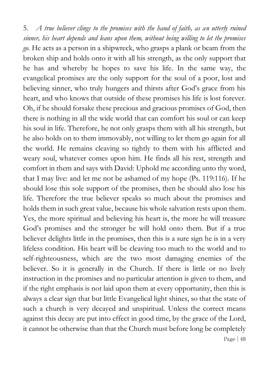Page | 48 5. *A true believer clings to the promises with the hand of faith, as an utterly ruined sinner, his heart depends and leans upon them, without being willing to let the promises go.* He acts as a person in a shipwreck, who grasps a plank or beam from the broken ship and holds onto it with all his strength, as the only support that he has and whereby he hopes to save his life. In the same way, the evangelical promises are the only support for the soul of a poor, lost and believing sinner, who truly hungers and thirsts after God's grace from his heart, and who knows that outside of these promises his life is lost forever. Oh, if he should forsake these precious and gracious promises of God, then there is nothing in all the wide world that can comfort his soul or can keep his soul in life. Therefore, he not only grasps them with all his strength, but he also holds on to them immovably, not willing to let them go again for all the world. He remains cleaving so tightly to them with his afflicted and weary soul, whatever comes upon him. He finds all his rest, strength and comfort in them and says with David: Uphold me according unto thy word, that I may live: and let me not be ashamed of my hope (Ps. 119:116). If he should lose this sole support of the promises, then he should also lose his life. Therefore the true believer speaks so much about the promises and holds them in such great value, because his whole salvation rests upon them. Yes, the more spiritual and believing his heart is, the more he will treasure God's promises and the stronger he will hold onto them. But if a true believer delights little in the promises, then this is a sure sign he is in a very lifeless condition. His heart will be cleaving too much to the world and to self-righteousness, which are the two most damaging enemies of the believer. So it is generally in the Church. If there is little or no lively instruction in the promises and no particular attention is given to them, and if the right emphasis is not laid upon them at every opportunity, then this is always a clear sign that but little Evangelical light shines, so that the state of such a church is very decayed and unspiritual. Unless the correct means against this decay are put into effect in good time, by the grace of the Lord, it cannot be otherwise than that the Church must before long be completely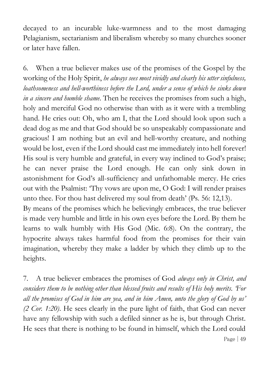decayed to an incurable luke-warmness and to the most damaging Pelagianism, sectarianism and liberalism whereby so many churches sooner or later have fallen.

6. When a true believer makes use of the promises of the Gospel by the working of the Holy Spirit, *he always sees most vividly and clearly his utter sinfulness, loathsomeness and hell-worthiness before the Lord, under a sense of which he sinks down in a sincere and humble shame.* Then he receives the promises from such a high, holy and merciful God no otherwise than with as it were with a trembling hand. He cries out: Oh, who am I, that the Lord should look upon such a dead dog as me and that God should be so unspeakably compassionate and gracious! I am nothing but an evil and hell-worthy creature, and nothing would be lost, even if the Lord should cast me immediately into hell forever! His soul is very humble and grateful, in every way inclined to God's praise; he can never praise the Lord enough. He can only sink down in astonishment for God's all-sufficiency and unfathomable mercy. He cries out with the Psalmist: 'Thy vows are upon me, O God: I will render praises unto thee. For thou hast delivered my soul from death' (Ps. 56: 12,13). By means of the promises which he believingly embraces, the true believer

is made very humble and little in his own eyes before the Lord. By them he learns to walk humbly with His God (Mic. 6:8). On the contrary, the hypocrite always takes harmful food from the promises for their vain imagination, whereby they make a ladder by which they climb up to the heights.

Page | 49 7. A true believer embraces the promises of God *always only in Christ, and considers them to be nothing other than blessed fruits and results of His holy merits. 'For all the promises of God in him are yea, and in him Amen, unto the glory of God by us' (2 Cor. 1:20)*. He sees clearly in the pure light of faith, that God can never have any fellowship with such a defiled sinner as he is, but through Christ. He sees that there is nothing to be found in himself, which the Lord could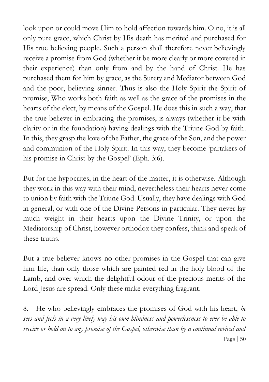look upon or could move Him to hold affection towards him. O no, it is all only pure grace, which Christ by His death has merited and purchased for His true believing people. Such a person shall therefore never believingly receive a promise from God (whether it be more clearly or more covered in their experience) than only from and by the hand of Christ. He has purchased them for him by grace, as the Surety and Mediator between God and the poor, believing sinner. Thus is also the Holy Spirit the Spirit of promise, Who works both faith as well as the grace of the promises in the hearts of the elect, by means of the Gospel. He does this in such a way, that the true believer in embracing the promises, is always (whether it be with clarity or in the foundation) having dealings with the Triune God by faith. In this, they grasp the love of the Father, the grace of the Son, and the power and communion of the Holy Spirit. In this way, they become 'partakers of his promise in Christ by the Gospel' (Eph. 3:6).

But for the hypocrites, in the heart of the matter, it is otherwise. Although they work in this way with their mind, nevertheless their hearts never come to union by faith with the Triune God. Usually, they have dealings with God in general, or with one of the Divine Persons in particular. They never lay much weight in their hearts upon the Divine Trinity, or upon the Mediatorship of Christ, however orthodox they confess, think and speak of these truths.

But a true believer knows no other promises in the Gospel that can give him life, than only those which are painted red in the holy blood of the Lamb, and over which the delightful odour of the precious merits of the Lord Jesus are spread. Only these make everything fragrant.

Page  $| 50$ 8. He who believingly embraces the promises of God with his heart, *he sees and feels in a very lively way his own blindness and powerlessness to ever be able to receive or hold on to any promise of the Gospel, otherwise than by a continual revival and*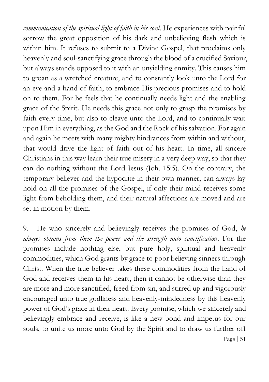*communication of the spiritual light of faith in his soul*. He experiences with painful sorrow the great opposition of his dark and unbelieving flesh which is within him. It refuses to submit to a Divine Gospel, that proclaims only heavenly and soul-sanctifying grace through the blood of a crucified Saviour, but always stands opposed to it with an unyielding enmity. This causes him to groan as a wretched creature, and to constantly look unto the Lord for an eye and a hand of faith, to embrace His precious promises and to hold on to them. For he feels that he continually needs light and the enabling grace of the Spirit. He needs this grace not only to grasp the promises by faith every time, but also to cleave unto the Lord, and to continually wait upon Him in everything, as the God and the Rock of his salvation. For again and again he meets with many mighty hindrances from within and without, that would drive the light of faith out of his heart. In time, all sincere Christians in this way learn their true misery in a very deep way, so that they can do nothing without the Lord Jesus (Joh. 15:5). On the contrary, the temporary believer and the hypocrite in their own manner, can always lay hold on all the promises of the Gospel, if only their mind receives some light from beholding them, and their natural affections are moved and are set in motion by them.

Page | 51 9. He who sincerely and believingly receives the promises of God, *he always obtains from them the power and the strength unto sanctification*. For the promises include nothing else, but pure holy, spiritual and heavenly commodities, which God grants by grace to poor believing sinners through Christ. When the true believer takes these commodities from the hand of God and receives them in his heart, then it cannot be otherwise than they are more and more sanctified, freed from sin, and stirred up and vigorously encouraged unto true godliness and heavenly-mindedness by this heavenly power of God's grace in their heart. Every promise, which we sincerely and believingly embrace and receive, is like a new bond and impetus for our souls, to unite us more unto God by the Spirit and to draw us further off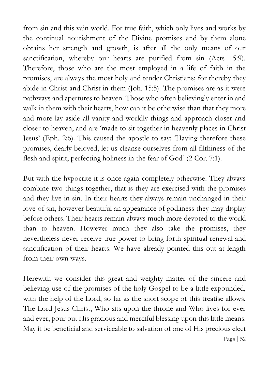from sin and this vain world. For true faith, which only lives and works by the continual nourishment of the Divine promises and by them alone obtains her strength and growth, is after all the only means of our sanctification, whereby our hearts are purified from sin (Acts 15:9). Therefore, those who are the most employed in a life of faith in the promises, are always the most holy and tender Christians; for thereby they abide in Christ and Christ in them (Joh. 15:5). The promises are as it were pathways and apertures to heaven. Those who often believingly enter in and walk in them with their hearts, how can it be otherwise than that they more and more lay aside all vanity and worldly things and approach closer and closer to heaven, and are 'made to sit together in heavenly places in Christ Jesus' (Eph. 2:6). This caused the apostle to say: 'Having therefore these promises, dearly beloved, let us cleanse ourselves from all filthiness of the flesh and spirit, perfecting holiness in the fear of God' (2 Cor. 7:1).

But with the hypocrite it is once again completely otherwise. They always combine two things together, that is they are exercised with the promises and they live in sin. In their hearts they always remain unchanged in their love of sin, however beautiful an appearance of godliness they may display before others. Their hearts remain always much more devoted to the world than to heaven. However much they also take the promises, they nevertheless never receive true power to bring forth spiritual renewal and sanctification of their hearts. We have already pointed this out at length from their own ways.

Herewith we consider this great and weighty matter of the sincere and believing use of the promises of the holy Gospel to be a little expounded, with the help of the Lord, so far as the short scope of this treatise allows. The Lord Jesus Christ, Who sits upon the throne and Who lives for ever and ever, pour out His gracious and merciful blessing upon this little means. May it be beneficial and serviceable to salvation of one of His precious elect